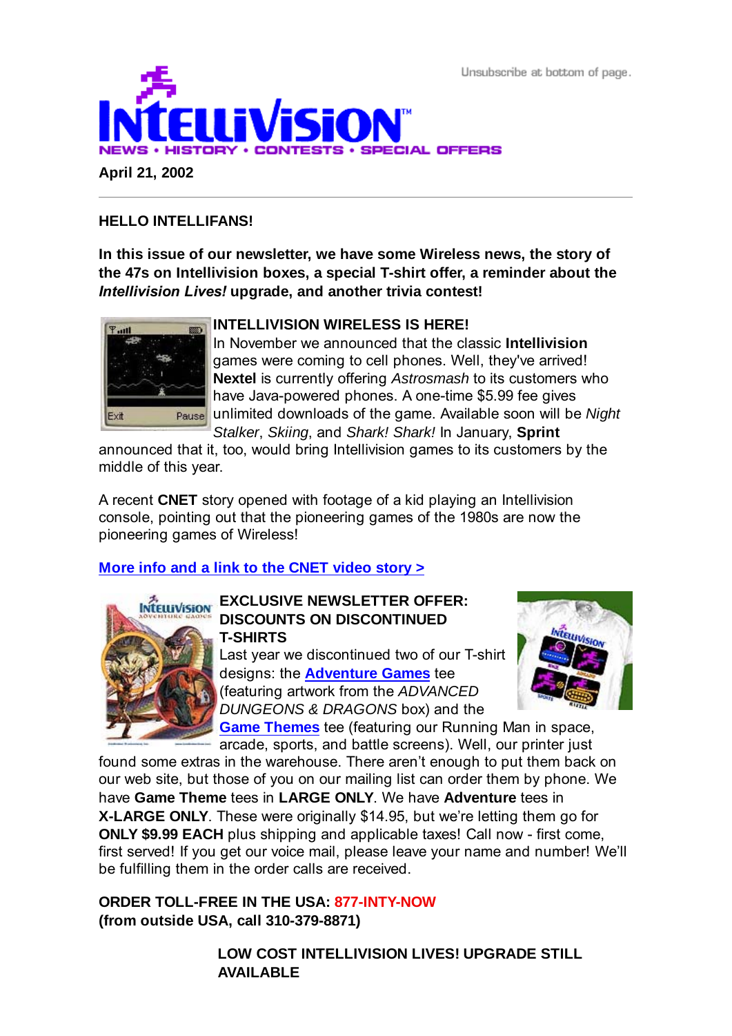Unsubscribe at bottom of page.



**April 21, 2002**

# **HELLO INTELLIFANS!**

**In this issue of our newsletter, we have some Wireless news, the story of the 47s on Intellivision boxes, a special T-shirt offer, a reminder about the** *Intellivision Lives!* **upgrade, and another trivia contest!**



# **INTELLIVISION WIRELESS IS HERE!**

In November we announced that the classic **Intellivision** games were coming to cell phones. Well, they've arrived! **Nextel** is currently offering *Astrosmash* to its customers who have Java-powered phones. A one-time \$5.99 fee gives unlimited downloads of the game. Available soon will be *Night Stalker*, *Skiing*, and *Shark! Shark!* In January, **Sprint**

announced that it, too, would bring Intellivision games to its customers by the middle of this year.

A recent **CNET** story opened with footage of a kid playing an Intellivision console, pointing out that the pioneering games of the 1980s are now the pioneering games of Wireless!

# **More info and a link to the CNET video story >**



# **INTELLIVISION** EXCLUSIVE NEWSLETTER OFFER: **DISCOUNTS ON DISCONTINUED T-SHIRTS**

Last year we discontinued two of our T-shirt designs: the **Adventure Games** tee (featuring artwork from the *ADVANCED DUNGEONS & DRAGONS* box) and the **Game Themes** tee (featuring our Running Man in space,



arcade, sports, and battle screens). Well, our printer just found some extras in the warehouse. There aren't enough to put them back on our web site, but those of you on our mailing list can order them by phone. We have **Game Theme** tees in **LARGE ONLY**. We have **Adventure** tees in **X-LARGE ONLY**. These were originally \$14.95, but we're letting them go for **ONLY \$9.99 EACH** plus shipping and applicable taxes! Call now - first come, first served! If you get our voice mail, please leave your name and number! We'll

be fulfilling them in the order calls are received.

**ORDER TOLL-FREE IN THE USA: 877-INTY-NOW (from outside USA, call 310-379-8871)**

> **LOW COST INTELLIVISION LIVES! UPGRADE STILL AVAILABLE**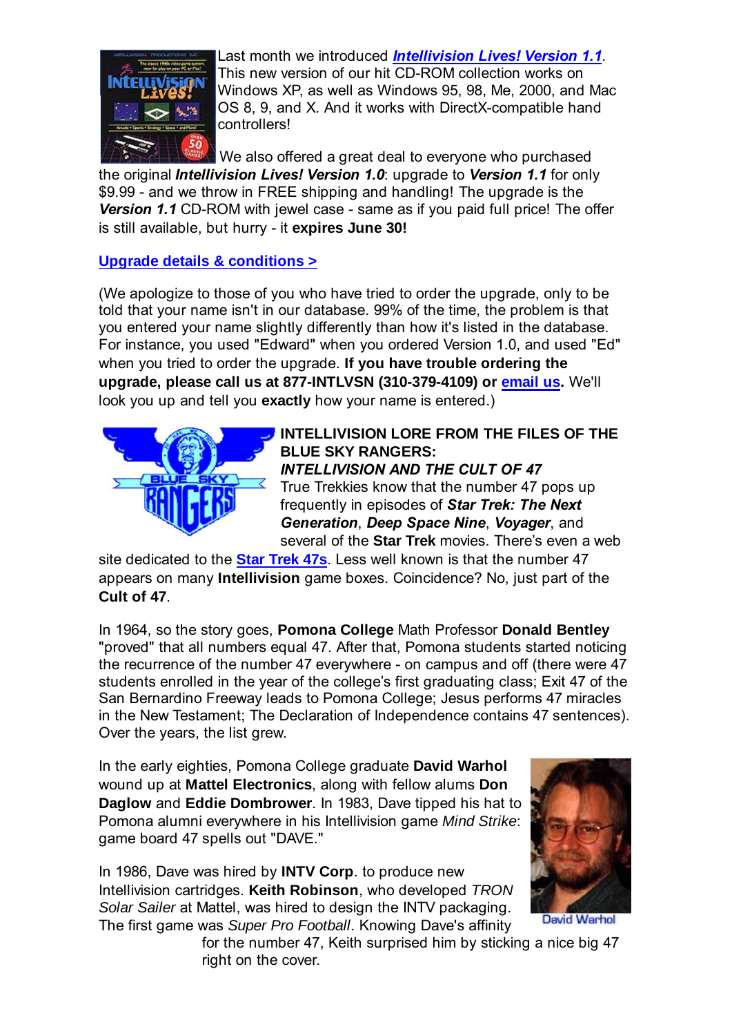

Last month we introduced *Intellivision Lives! Version 1.1*. This new version of our hit CD-ROM collection works on Windows XP, as well as Windows 95, 98, Me, 2000, and Mac OS 8, 9, and X. And it works with DirectX-compatible hand controllers!

 We also offered a great deal to everyone who purchased the original *Intellivision Lives! Version 1.0*: upgrade to *Version 1.1* for only \$9.99 - and we throw in FREE shipping and handling! The upgrade is the *Version 1.1* CD-ROM with jewel case - same as if you paid full price! The offer is still available, but hurry - it **expires June 30!**

### **Upgrade details & conditions >**

(We apologize to those of you who have tried to order the upgrade, only to be told that your name isn't in our database. 99% of the time, the problem is that you entered your name slightly differently than how it's listed in the database. For instance, you used "Edward" when you ordered Version 1.0, and used "Ed" when you tried to order the upgrade. **If you have trouble ordering the upgrade, please call us at 877-INTLVSN (310-379-4109) or email us.** We'll look you up and tell you **exactly** how your name is entered.)



#### **INTELLIVISION LORE FROM THE FILES OF THE BLUE SKY RANGERS:** *INTELLIVISION AND THE CULT OF 47*

True Trekkies know that the number 47 pops up frequently in episodes of *Star Trek: The Next Generation*, *Deep Space Nine*, *Voyager*, and several of the **Star Trek** movies. There's even a web

site dedicated to the **Star Trek 47s**. Less well known is that the number 47 appears on many **Intellivision** game boxes. Coincidence? No, just part of the **Cult of 47**.

In 1964, so the story goes, **Pomona College** Math Professor **Donald Bentley** "proved" that all numbers equal 47. After that, Pomona students started noticing the recurrence of the number 47 everywhere - on campus and off (there were 47 students enrolled in the year of the college's first graduating class; Exit 47 of the San Bernardino Freeway leads to Pomona College; Jesus performs 47 miracles in the New Testament; The Declaration of Independence contains 47 sentences). Over the years, the list grew.

In the early eighties, Pomona College graduate **David Warhol** wound up at **Mattel Electronics**, along with fellow alums **Don Daglow** and **Eddie Dombrower**. In 1983, Dave tipped his hat to Pomona alumni everywhere in his Intellivision game *Mind Strike*: game board 47 spells out "DAVE."

In 1986, Dave was hired by **INTV Corp**. to produce new Intellivision cartridges. **Keith Robinson**, who developed *TRON Solar Sailer* at Mattel, was hired to design the INTV packaging. The first game was *Super Pro Football*. Knowing Dave's affinity



David Warhol

for the number 47, Keith surprised him by sticking a nice big 47 right on the cover.